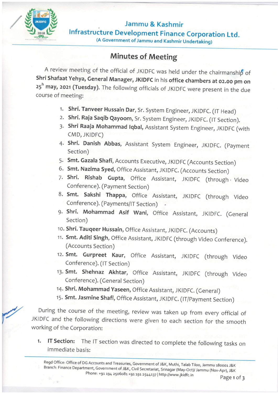

Jammu & Kashmir lnfrastructure Development Finance Corporation Ltd.

## (A Government of Jammu and Kashmir Undertaking)

## Minutes of Meeting

A review meeting of the official of JKIDFC was held under the chairmanship of Shri Shafaat Yehya, General Manager, JKIDFC in his office chambers at 02.00 pm on 25<sup>h</sup> may, 2021 (Tuesday). The following officials of JKIDFC were present in the due course of meeting:

- 1. Shri. Tanveer Hussain Dar, Sr. System Engineer, JKIDFC. (IT Head)
- 2. Shri. Raja Saqib Qayoom, Sr. System Engineer, JKIDFC. (IT Section).
- 3. Shri Raaja Mohammad Iqbal, Assistant System Engineer, JKIDFC (with cMD, JKIDFC)
- 4. Shri. Danish Abbas, Assistant System Engineer, JKIDFC. (Payment Section)
- 5. Smt. Gazala Shafi, Accounts Executive, JKIDFC (Accounts Section)
- 6. Smt. Nazima Syed, Office Assistant, JKIDFC, (Accounts Section)
- 7. Shri. Rishab Gupta, Office Assistant, JKIDFC (through Video Conference). (Payment Section)
- 8. Smt. Sakshi Thappa, Office Assistant, JKIDFC (through Video Conference). (Payments/IT Section)
- 9. Shri. Mohammad Asif Wani, Office Assistant, JKIDFC. (General Section)
- 1o. Shri. Tauqeer Hussain, Office Assistant, JKIDFC. (Accounts)
- 11. Smt. Aditi Singh, Office Assistant, JKIDFC (through Video Conference). (Accounts Section)
- i2. Smt. Gurpreet Kaur, Office Assistant, JKIDFC (through Video Conference). (lT Section)
- 13. Smt. Shehnaz Akhtar, Office Assistant, JKIDFC (through Video Conference). (General Section)
- 14. Shri. Mohammad Yaseen, Office Assistant, JKIDFC. (General)
- 15. Smt. Jasmine Shafi, Office Assistant, JKIDFC. (IT/Payment Section)

During the course of the meeting, review was taken up from every official of JKIDFC and the following directions were given to each section for the smooth working of the Corporation:

1. IT Section: The IT section was directed to complete the following tasks on immediate basis:

Regd Office: Office of DG Accounts and Treasuries, Government of J&K, Muthi, Talab Tiloo, Jammu 180001 J&K<br>Branch: Finance Department, Government of J&K, Civil Secretariat, Srinagar (May-Oct)/ Jammu (Nov-Apr), J&K<br>Phone: +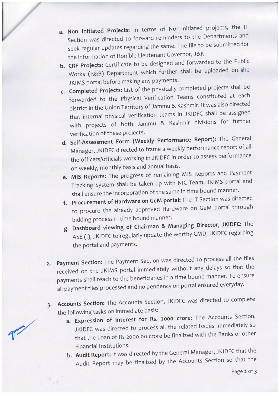a. Non Initiated Projects: In terms of Non-Initiated projects, the IT Section was directed to forward reminders to the Departments and seek regular updates regarding the same. The file to be submitted for the information of Hon'ble Lieutenant Governor, J&K.

L

Ĭ

- b. CRF Projects: Certificate to be designed and forwarded to the Public Works (R&B) Department which further shall be uploaded on the JKIMS portal before making any payments.
- c. Completed Projects: List of the physically completed projects shall be forwarded to the Physical Verification Teams constituted at each district in the Union Territory of Jammu & Kashmir. It was also directed that internal physical verification teams in JKIDFC shall be assigned with projects of both Jammu & Kashmir divisions for further verification of these projects.
- d, Self-Assessment Form (weekly Performance Report): The ceneral Manager, JKIDFC directed to frame a weekly performance report of all the officers/officials working in JKIDFC in order to assess performance on weekly, monthly basis and annual basis.
- e. MIS Reports: The progress of remaining MIS Reports and Payment Tracking System shall be taken up with NIC Team, JKIMS portal and shall ensure the incorporation of the same in time bound manner.
- f. Procurement of Hardware on GeM portal: The lT Section was directed to procure the already approved Hardware on GeM portal through bidding process in time bound manner.
- g. Dashboard viewing of Chairman & Managing Director, JKIDFC: The ASE (I), JKIDFC to regularly update the worthy CMD, JKIDFC regarding the portal and payments.
- 2. Payment Section: The Payment Section was directed to process all the files received on the JKIMS portal immediately without any delays so that the payments shall reach to the beneficiaries in a time bound manner. To ensure all payment files processed and no pendency on portal ensured everyday.
- 3. Accounts Section: The Accounts Section, JNDFC was directed to complete the following tasks on immediate basis:
	- a. Expression of Interest for Rs. 2000 crore: The Accounts Section, JKIDFC was directed to process all the related issues immediately so that the Loan of Rs 2000.00 crore be finalized with the Banks or other Financial Institutions.
	- b. Audit Report: It was directed by the General Manager, JKIDFC that the Audit Report may be finalized by the Accounts Section so that the